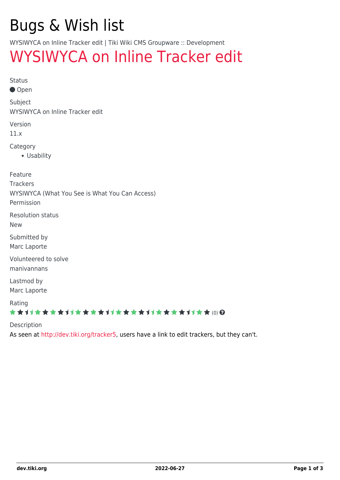# Bugs & Wish list

WYSIWYCA on Inline Tracker edit | Tiki Wiki CMS Groupware :: Development

## [WYSIWYCA on Inline Tracker edit](https://dev.tiki.org/item4557-WYSIWYCA-on-Inline-Tracker-edit)

Status

● Open

Subject

WYSIWYCA on Inline Tracker edit

Version

11.x

Category

Usability

Feature

**Trackers** 

WYSIWYCA (What You See is What You Can Access)

Permission

Resolution status

New

Submitted by Marc Laporte

Volunteered to solve manivannans

Lastmod by Marc Laporte

Rating

#### ★★オオ★★★★オオ★★★★オオ★★★★オオ★★★★オオ★★(0) @

Description

As seen at<http://dev.tiki.org/tracker5>, users have a link to edit trackers, but they can't.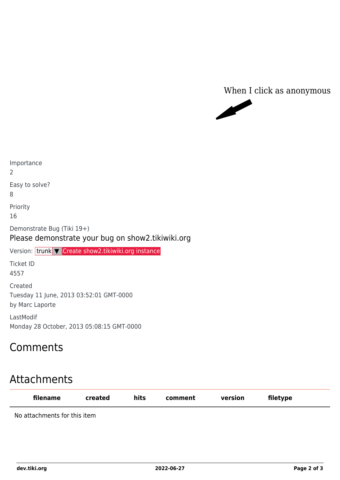



Easy to solve? 8 Priority 16 Demonstrate Bug (Tiki 19+) Please demonstrate your bug on show2.tikiwiki.org Version: trunk ▼ [Create show2.tikiwiki.org instance](#page--1-0) Ticket ID 4557 Created Tuesday 11 June, 2013 03:52:01 GMT-0000 by Marc Laporte

LastModif Monday 28 October, 2013 05:08:15 GMT-0000

### Comments

Importance

2

## Attachments

| filename                     | created | hits | comment | version | filetype |
|------------------------------|---------|------|---------|---------|----------|
| No attachments for this item |         |      |         |         |          |